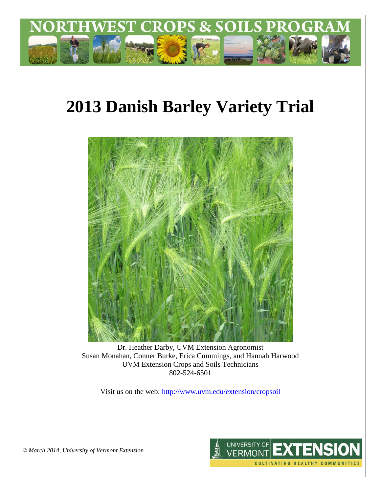

# **2013 Danish Barley Variety Trial**



Dr. Heather Darby, UVM Extension Agronomist Susan Monahan, Conner Burke, Erica Cummings, and Hannah Harwood UVM Extension Crops and Soils Technicians 802-524-6501

Visit us on the web: <http://www.uvm.edu/extension/cropsoil>



*© March 2014, University of Vermont Extension*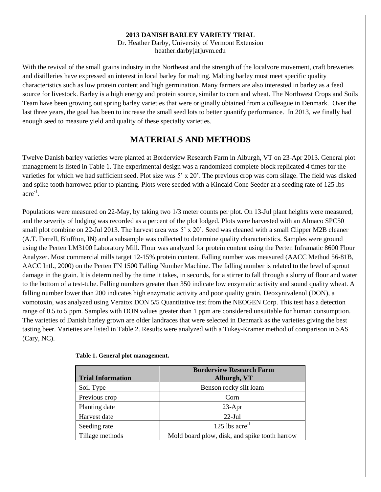#### **2013 DANISH BARLEY VARIETY TRIAL**

Dr. Heather Darby, University of Vermont Extension heather.darby[at]uvm.edu

With the revival of the small grains industry in the Northeast and the strength of the localvore movement, craft breweries and distilleries have expressed an interest in local barley for malting. Malting barley must meet specific quality characteristics such as low protein content and high germination. Many farmers are also interested in barley as a feed source for livestock. Barley is a high energy and protein source, similar to corn and wheat. The Northwest Crops and Soils Team have been growing out spring barley varieties that were originally obtained from a colleague in Denmark. Over the last three years, the goal has been to increase the small seed lots to better quantify performance. In 2013, we finally had enough seed to measure yield and quality of these specialty varieties.

# **MATERIALS AND METHODS**

Twelve Danish barley varieties were planted at Borderview Research Farm in Alburgh, VT on 23-Apr 2013. General plot management is listed in Table 1. The experimental design was a randomized complete block replicated 4 times for the varieties for which we had sufficient seed. Plot size was 5' x 20'. The previous crop was corn silage. The field was disked and spike tooth harrowed prior to planting. Plots were seeded with a Kincaid Cone Seeder at a seeding rate of 125 lbs acre-1 .

Populations were measured on 22-May, by taking two 1/3 meter counts per plot. On 13-Jul plant heights were measured, and the severity of lodging was recorded as a percent of the plot lodged. Plots were harvested with an Almaco SPC50 small plot combine on 22-Jul 2013. The harvest area was 5' x 20'. Seed was cleaned with a small Clipper M2B cleaner (A.T. Ferrell, Bluffton, IN) and a subsample was collected to determine quality characteristics. Samples were ground using the Perten LM3100 Laboratory Mill. Flour was analyzed for protein content using the Perten Inframatic 8600 Flour Analyzer. Most commercial mills target 12-15% protein content. Falling number was measured (AACC Method 56-81B, AACC Intl., 2000) on the Perten FN 1500 Falling Number Machine. The falling number is related to the level of sprout damage in the grain. It is determined by the time it takes, in seconds, for a stirrer to fall through a slurry of flour and water to the bottom of a test-tube. Falling numbers greater than 350 indicate low enzymatic activity and sound quality wheat. A falling number lower than 200 indicates high enzymatic activity and poor quality grain. Deoxynivalenol (DON), a vomotoxin, was analyzed using Veratox DON 5/5 Quantitative test from the NEOGEN Corp. This test has a detection range of 0.5 to 5 ppm. Samples with DON values greater than 1 ppm are considered unsuitable for human consumption. The varieties of Danish barley grown are older landraces that were selected in Denmark as the varieties giving the best tasting beer. Varieties are listed in Table 2. Results were analyzed with a Tukey-Kramer method of comparison in SAS (Cary, NC).

| <b>Trial Information</b> | <b>Borderview Research Farm</b><br>Alburgh, VT |
|--------------------------|------------------------------------------------|
| Soil Type                | Benson rocky silt loam                         |
| Previous crop            | Corn                                           |
| Planting date            | $23-Apr$                                       |
| Harvest date             | $22$ -Jul                                      |
| Seeding rate             | 125 lbs $\rm{acre}^{-1}$                       |
| Tillage methods          | Mold board plow, disk, and spike tooth harrow  |

#### **Table 1. General plot management.**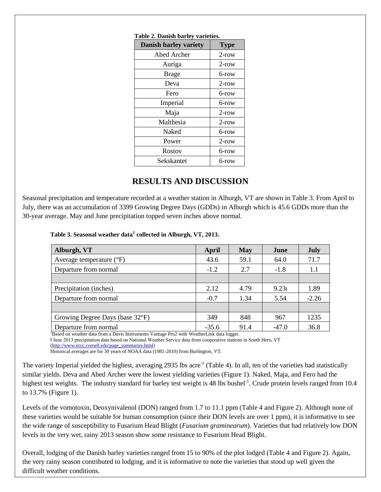| Table 2. Danish barley varieties. |             |  |  |  |  |
|-----------------------------------|-------------|--|--|--|--|
| <b>Danish barley variety</b>      | <b>Type</b> |  |  |  |  |
| Abed Archer                       | $2$ -row    |  |  |  |  |
| Auriga                            | $2$ -row    |  |  |  |  |
| <b>Brage</b>                      | 6-row       |  |  |  |  |
| Deva                              | $2$ -row    |  |  |  |  |
| Fero                              | 6-row       |  |  |  |  |
| Imperial                          | 6-row       |  |  |  |  |
| Maja                              | $2$ -row    |  |  |  |  |
| Malthesia                         | $2$ -row    |  |  |  |  |
| Naked                             | 6-row       |  |  |  |  |
| Power                             | $2$ -row    |  |  |  |  |
| Rostov                            | 6-row       |  |  |  |  |
| Sekskantet                        | 6-row       |  |  |  |  |

#### **Table 2. Danish barley varieties.**

## **RESULTS AND DISCUSSION**

Seasonal precipitation and temperature recorded at a weather station in Alburgh, VT are shown in Table 3. From April to July, there was an accumulation of 3399 Growing Degree Days (GDDs) in Alburgh which is 45.6 GDDs more than the 30-year average. May and June precipitation topped seven inches above normal.

#### **Table 3. Seasonal weather data<sup>1</sup> collected in Alburgh, VT, 2013.**

| Alburgh, VT                         | April   | May  | June              | July    |  |
|-------------------------------------|---------|------|-------------------|---------|--|
| Average temperature $({}^{\circ}F)$ | 43.6    | 59.1 | 64.0              | 71.7    |  |
| Departure from normal               | $-1.2$  | 2.7  | $-1.8$            | 1.1     |  |
|                                     |         |      |                   |         |  |
| Precipitation (inches)              | 2.12    | 4.79 | 9.23 <sub>t</sub> | 1.89    |  |
| Departure from normal               | $-0.7$  | 1.34 | 5.54              | $-2.26$ |  |
|                                     |         |      |                   |         |  |
| Growing Degree Days (base 32°F)     | 349     | 848  | 967               | 1235    |  |
| Departure from normal               | $-35.6$ | 91.4 | $-47.0$           | 36.8    |  |

Based on weather data from a Davis Instruments Vantage Pro2 with WeatherLink data logger.

ⱡ June 2013 precipitation data based on National Weather Service data from cooperative stations in South Hero, VT

[\(http://www.nrcc.cornell.edu/page\\_summaries.html\)](http://www.nrcc.cornell.edu/page_summaries.html)

Historical averages are for 30 years of NOAA data (1981-2010) from Burlington, VT.

The variety Imperial yielded the highest, averaging 2935 lbs acre<sup>-1</sup> (Table 4). In all, ten of the varieties had statistically similar yields. Deva and Abed Archer were the lowest yielding varieties (Figure 1). Naked, Maja, and Fero had the highest test weights. The industry standard for barley test weight is 48 lbs bushel<sup>-1</sup>. Crude protein levels ranged from 10.4 to 13.7% (Figure 1).

Levels of the vomotoxin, Deoxynivalenol (DON) ranged from 1.7 to 11.1 ppm (Table 4 and Figure 2). Although none of these varieties would be suitable for human consumption (since their DON levels are over 1 ppm), it is informative to see the wide range of susceptibility to Fusarium Head Blight (*Fusarium graminearum*). Varieties that had relatively low DON levels in the very wet, rainy 2013 season show some resistance to Fusarium Head Blight.

Overall, lodging of the Danish barley varieties ranged from 15 to 90% of the plot lodged (Table 4 and Figure 2). Again, the very rainy season contributed to lodging, and it is informative to note the varieties that stood up well given the difficult weather conditions.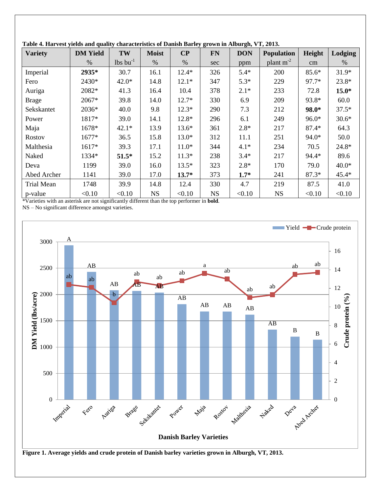| able to that $\cos \theta$ for the dimensional contract theory of $\theta$ and $\theta$ and $\theta$ and $\theta$ and $\theta$ and $\theta$ and $\theta$<br><b>Variety</b> | <b>DM</b> Yield | TW                     | <b>Moist</b> | $\bf CP$ | <b>FN</b> | <b>DON</b> | <b>Population</b> | Height  | Lodging |
|----------------------------------------------------------------------------------------------------------------------------------------------------------------------------|-----------------|------------------------|--------------|----------|-----------|------------|-------------------|---------|---------|
|                                                                                                                                                                            | $\%$            | $lbs$ bu <sup>-1</sup> | $\%$         | %        | sec       | ppm        | plant $m^{-2}$    | cm      | $\%$    |
| Imperial                                                                                                                                                                   | 2935*           | 30.7                   | 16.1         | $12.4*$  | 326       | $5.4*$     | 200               | $85.6*$ | $31.9*$ |
| Fero                                                                                                                                                                       | 2430*           | $42.0*$                | 14.8         | $12.1*$  | 347       | $5.3*$     | 229               | 97.7*   | $23.8*$ |
| Auriga                                                                                                                                                                     | 2082*           | 41.3                   | 16.4         | 10.4     | 378       | $2.1*$     | 233               | 72.8    | $15.0*$ |
| <b>Brage</b>                                                                                                                                                               | 2067*           | 39.8                   | 14.0         | $12.7*$  | 330       | 6.9        | 209               | 93.8*   | 60.0    |
| Sekskantet                                                                                                                                                                 | 2036*           | 40.0                   | 9.8          | $12.3*$  | 290       | 7.3        | 212               | 98.0*   | $37.5*$ |
| Power                                                                                                                                                                      | 1817*           | 39.0                   | 14.1         | $12.8*$  | 296       | 6.1        | 249               | $96.0*$ | $30.6*$ |
| Maja                                                                                                                                                                       | 1678*           | $42.1*$                | 13.9         | $13.6*$  | 361       | $2.8*$     | 217               | $87.4*$ | 64.3    |
| Rostov                                                                                                                                                                     | 1677*           | 36.5                   | 15.8         | $13.0*$  | 312       | 11.1       | 251               | 94.0*   | 50.0    |
| Malthesia                                                                                                                                                                  | $1617*$         | 39.3                   | 17.1         | $11.0*$  | 344       | $4.1*$     | 234               | 70.5    | 24.8*   |
| Naked                                                                                                                                                                      | 1334*           | $51.5*$                | 15.2         | $11.3*$  | 238       | $3.4*$     | 217               | 94.4*   | 89.6    |
| Deva                                                                                                                                                                       | 1199            | 39.0                   | 16.0         | $13.5*$  | 323       | $2.8*$     | 170               | 79.0    | $40.0*$ |
| Abed Archer                                                                                                                                                                | 1141            | 39.0                   | 17.0         | $13.7*$  | 373       | $1.7*$     | 241               | $87.3*$ | $45.4*$ |
| Trial Mean                                                                                                                                                                 | 1748            | 39.9                   | 14.8         | 12.4     | 330       | 4.7        | 219               | 87.5    | 41.0    |
| p-value                                                                                                                                                                    | < 0.10          | < 0.10                 | <b>NS</b>    | < 0.10   | <b>NS</b> | < 0.10     | <b>NS</b>         | < 0.10  | < 0.10  |

**Table 4. Harvest yields and quality characteristics of Danish Barley grown in Alburgh, VT, 2013.**

\*Varieties with an asterisk are not significantly different than the top performer in **bold**.

NS – No significant difference amongst varieties.